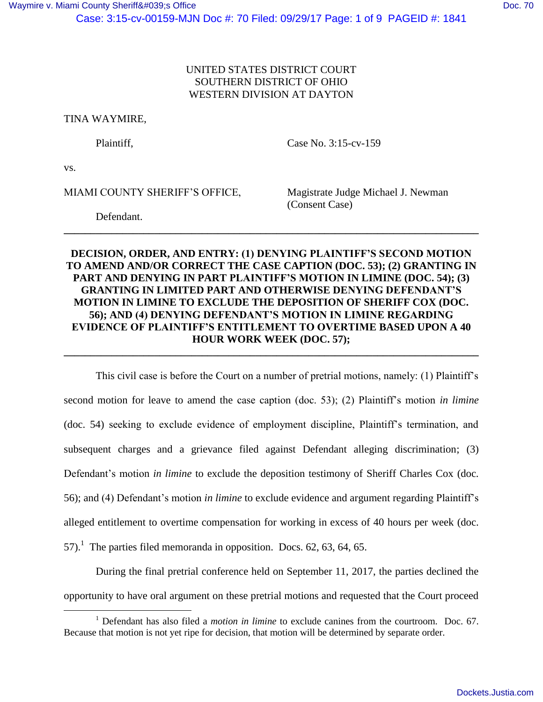## UNITED STATES DISTRICT COURT SOUTHERN DISTRICT OF OHIO WESTERN DIVISION AT DAYTON

TINA WAYMIRE,

Plaintiff, Case No. 3:15-cv-159

vs.

 $\overline{a}$ 

MIAMI COUNTY SHERIFF'S OFFICE, Magistrate Judge Michael J. Newman

(Consent Case)

Defendant.

# **DECISION, ORDER, AND ENTRY: (1) DENYING PLAINTIFF'S SECOND MOTION TO AMEND AND/OR CORRECT THE CASE CAPTION (DOC. 53); (2) GRANTING IN PART AND DENYING IN PART PLAINTIFF'S MOTION IN LIMINE (DOC. 54); (3) GRANTING IN LIMITED PART AND OTHERWISE DENYING DEFENDANT'S MOTION IN LIMINE TO EXCLUDE THE DEPOSITION OF SHERIFF COX (DOC. 56); AND (4) DENYING DEFENDANT'S MOTION IN LIMINE REGARDING EVIDENCE OF PLAINTIFF'S ENTITLEMENT TO OVERTIME BASED UPON A 40 HOUR WORK WEEK (DOC. 57);**

**\_\_\_\_\_\_\_\_\_\_\_\_\_\_\_\_\_\_\_\_\_\_\_\_\_\_\_\_\_\_\_\_\_\_\_\_\_\_\_\_\_\_\_\_\_\_\_\_\_\_\_\_\_\_\_\_\_\_\_\_\_\_\_\_\_\_\_\_\_\_\_\_\_\_\_\_\_\_**

**\_\_\_\_\_\_\_\_\_\_\_\_\_\_\_\_\_\_\_\_\_\_\_\_\_\_\_\_\_\_\_\_\_\_\_\_\_\_\_\_\_\_\_\_\_\_\_\_\_\_\_\_\_\_\_\_\_\_\_\_\_\_\_\_\_\_\_\_\_\_\_\_\_\_\_\_\_\_**

This civil case is before the Court on a number of pretrial motions, namely: (1) Plaintiff's second motion for leave to amend the case caption (doc. 53); (2) Plaintiff's motion *in limine* (doc. 54) seeking to exclude evidence of employment discipline, Plaintiff's termination, and subsequent charges and a grievance filed against Defendant alleging discrimination; (3) Defendant's motion *in limine* to exclude the deposition testimony of Sheriff Charles Cox (doc. 56); and (4) Defendant's motion *in limine* to exclude evidence and argument regarding Plaintiff's alleged entitlement to overtime compensation for working in excess of 40 hours per week (doc. 57).<sup>1</sup> The parties filed memoranda in opposition. Docs. 62, 63, 64, 65.

During the final pretrial conference held on September 11, 2017, the parties declined the opportunity to have oral argument on these pretrial motions and requested that the Court proceed

<sup>1</sup> Defendant has also filed a *motion in limine* to exclude canines from the courtroom. Doc. 67. Because that motion is not yet ripe for decision, that motion will be determined by separate order.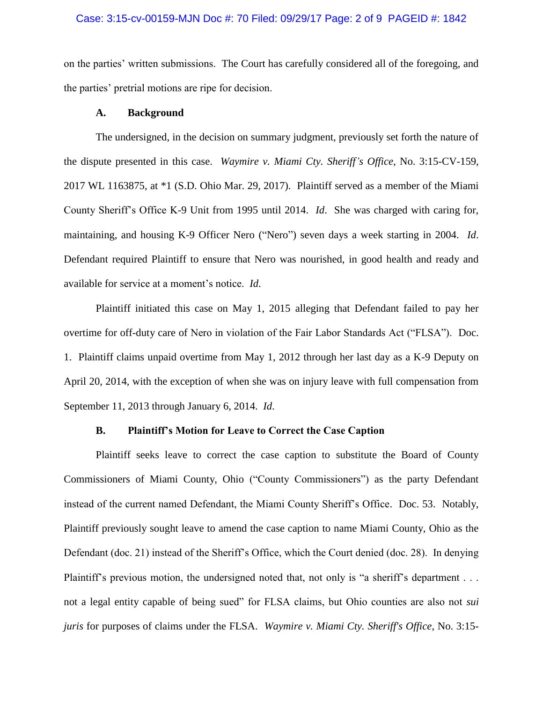on the parties' written submissions. The Court has carefully considered all of the foregoing, and the parties' pretrial motions are ripe for decision.

#### **A. Background**

The undersigned, in the decision on summary judgment, previously set forth the nature of the dispute presented in this case. *Waymire v. Miami Cty. Sheriff's Office*, No. 3:15-CV-159, 2017 WL 1163875, at \*1 (S.D. Ohio Mar. 29, 2017). Plaintiff served as a member of the Miami County Sheriff's Office K-9 Unit from 1995 until 2014. *Id*. She was charged with caring for, maintaining, and housing K-9 Officer Nero ("Nero") seven days a week starting in 2004. *Id*. Defendant required Plaintiff to ensure that Nero was nourished, in good health and ready and available for service at a moment's notice. *Id*.

Plaintiff initiated this case on May 1, 2015 alleging that Defendant failed to pay her overtime for off-duty care of Nero in violation of the Fair Labor Standards Act ("FLSA"). Doc. 1. Plaintiff claims unpaid overtime from May 1, 2012 through her last day as a K-9 Deputy on April 20, 2014, with the exception of when she was on injury leave with full compensation from September 11, 2013 through January 6, 2014. *Id*.

## **B. Plaintiff's Motion for Leave to Correct the Case Caption**

Plaintiff seeks leave to correct the case caption to substitute the Board of County Commissioners of Miami County, Ohio ("County Commissioners") as the party Defendant instead of the current named Defendant, the Miami County Sheriff's Office. Doc. 53. Notably, Plaintiff previously sought leave to amend the case caption to name Miami County, Ohio as the Defendant (doc. 21) instead of the Sheriff's Office, which the Court denied (doc. 28). In denying Plaintiff's previous motion, the undersigned noted that, not only is "a sheriff's department . . . not a legal entity capable of being sued" for FLSA claims, but Ohio counties are also not *sui juris* for purposes of claims under the FLSA. *Waymire v. Miami Cty. Sheriff's Office*, No. 3:15-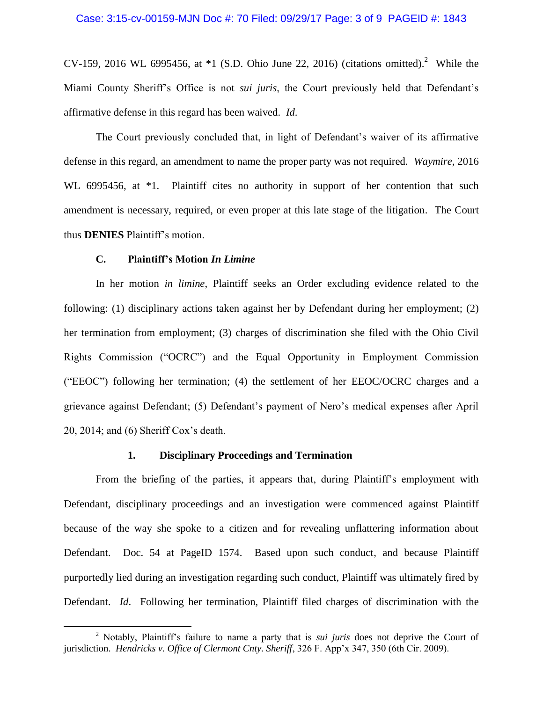CV-159, 2016 WL 6995456, at  $*1$  (S.D. Ohio June 22, 2016) (citations omitted).<sup>2</sup> While the Miami County Sheriff's Office is not *sui juris*, the Court previously held that Defendant's affirmative defense in this regard has been waived. *Id*.

The Court previously concluded that, in light of Defendant's waiver of its affirmative defense in this regard, an amendment to name the proper party was not required. *Waymire*, 2016 WL 6995456, at  $*1$ . Plaintiff cites no authority in support of her contention that such amendment is necessary, required, or even proper at this late stage of the litigation. The Court thus **DENIES** Plaintiff's motion.

### **C. Plaintiff's Motion** *In Limine*

 $\overline{a}$ 

In her motion *in limine*, Plaintiff seeks an Order excluding evidence related to the following: (1) disciplinary actions taken against her by Defendant during her employment; (2) her termination from employment; (3) charges of discrimination she filed with the Ohio Civil Rights Commission ("OCRC") and the Equal Opportunity in Employment Commission ("EEOC") following her termination; (4) the settlement of her EEOC/OCRC charges and a grievance against Defendant; (5) Defendant's payment of Nero's medical expenses after April 20, 2014; and (6) Sheriff Cox's death.

### **1. Disciplinary Proceedings and Termination**

From the briefing of the parties, it appears that, during Plaintiff's employment with Defendant, disciplinary proceedings and an investigation were commenced against Plaintiff because of the way she spoke to a citizen and for revealing unflattering information about Defendant. Doc. 54 at PageID 1574. Based upon such conduct, and because Plaintiff purportedly lied during an investigation regarding such conduct, Plaintiff was ultimately fired by Defendant. *Id*. Following her termination, Plaintiff filed charges of discrimination with the

<sup>2</sup> Notably, Plaintiff's failure to name a party that is *sui juris* does not deprive the Court of jurisdiction. *Hendricks v. Office of Clermont Cnty. Sheriff*, 326 F. App'x 347, 350 (6th Cir. 2009).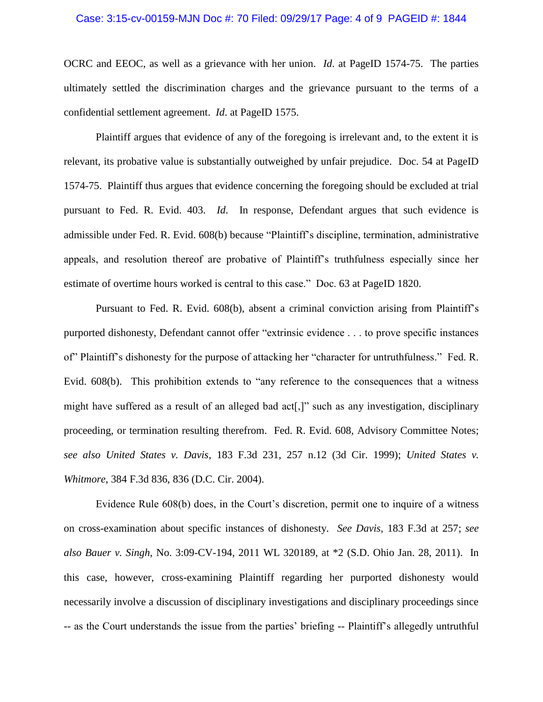#### Case: 3:15-cv-00159-MJN Doc #: 70 Filed: 09/29/17 Page: 4 of 9 PAGEID #: 1844

OCRC and EEOC, as well as a grievance with her union. *Id*. at PageID 1574-75. The parties ultimately settled the discrimination charges and the grievance pursuant to the terms of a confidential settlement agreement. *Id*. at PageID 1575.

Plaintiff argues that evidence of any of the foregoing is irrelevant and, to the extent it is relevant, its probative value is substantially outweighed by unfair prejudice. Doc. 54 at PageID 1574-75. Plaintiff thus argues that evidence concerning the foregoing should be excluded at trial pursuant to Fed. R. Evid. 403. *Id*. In response, Defendant argues that such evidence is admissible under Fed. R. Evid. 608(b) because "Plaintiff's discipline, termination, administrative appeals, and resolution thereof are probative of Plaintiff's truthfulness especially since her estimate of overtime hours worked is central to this case." Doc. 63 at PageID 1820.

Pursuant to Fed. R. Evid. 608(b), absent a criminal conviction arising from Plaintiff's purported dishonesty, Defendant cannot offer "extrinsic evidence . . . to prove specific instances of" Plaintiff's dishonesty for the purpose of attacking her "character for untruthfulness." Fed. R. Evid. 608(b). This prohibition extends to "any reference to the consequences that a witness might have suffered as a result of an alleged bad act[,]" such as any investigation, disciplinary proceeding, or termination resulting therefrom. Fed. R. Evid. 608, Advisory Committee Notes; *see also United States v. Davis*, 183 F.3d 231, 257 n.12 (3d Cir. 1999); *United States v. Whitmore*, 384 F.3d 836, 836 (D.C. Cir. 2004).

Evidence Rule 608(b) does, in the Court's discretion, permit one to inquire of a witness on cross-examination about specific instances of dishonesty. *See Davis*, 183 F.3d at 257; *see also Bauer v. Singh*, No. 3:09-CV-194, 2011 WL 320189, at \*2 (S.D. Ohio Jan. 28, 2011). In this case, however, cross-examining Plaintiff regarding her purported dishonesty would necessarily involve a discussion of disciplinary investigations and disciplinary proceedings since -- as the Court understands the issue from the parties' briefing -- Plaintiff's allegedly untruthful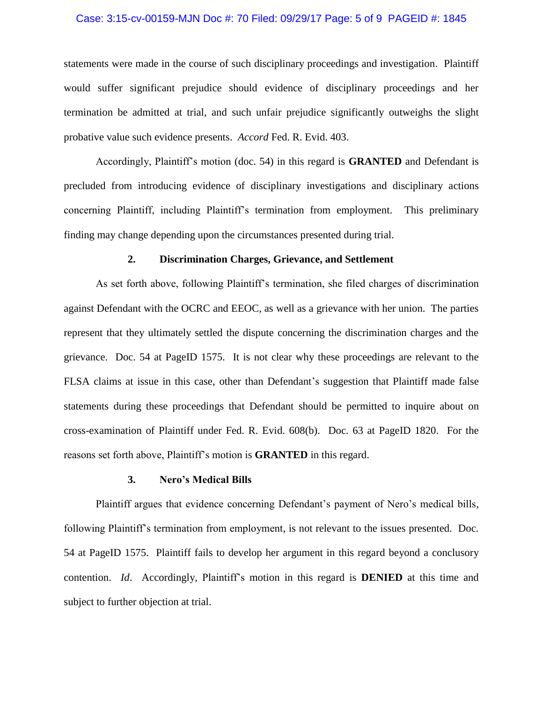#### Case: 3:15-cv-00159-MJN Doc #: 70 Filed: 09/29/17 Page: 5 of 9 PAGEID #: 1845

statements were made in the course of such disciplinary proceedings and investigation. Plaintiff would suffer significant prejudice should evidence of disciplinary proceedings and her termination be admitted at trial, and such unfair prejudice significantly outweighs the slight probative value such evidence presents. *Accord* Fed. R. Evid. 403.

Accordingly, Plaintiff's motion (doc. 54) in this regard is **GRANTED** and Defendant is precluded from introducing evidence of disciplinary investigations and disciplinary actions concerning Plaintiff, including Plaintiff's termination from employment. This preliminary finding may change depending upon the circumstances presented during trial.

### **2. Discrimination Charges, Grievance, and Settlement**

As set forth above, following Plaintiff's termination, she filed charges of discrimination against Defendant with the OCRC and EEOC, as well as a grievance with her union. The parties represent that they ultimately settled the dispute concerning the discrimination charges and the grievance. Doc. 54 at PageID 1575. It is not clear why these proceedings are relevant to the FLSA claims at issue in this case, other than Defendant's suggestion that Plaintiff made false statements during these proceedings that Defendant should be permitted to inquire about on cross-examination of Plaintiff under Fed. R. Evid. 608(b). Doc. 63 at PageID 1820. For the reasons set forth above, Plaintiff's motion is **GRANTED** in this regard.

#### **3. Nero's Medical Bills**

Plaintiff argues that evidence concerning Defendant's payment of Nero's medical bills, following Plaintiff's termination from employment, is not relevant to the issues presented. Doc. 54 at PageID 1575. Plaintiff fails to develop her argument in this regard beyond a conclusory contention. *Id*. Accordingly, Plaintiff's motion in this regard is **DENIED** at this time and subject to further objection at trial.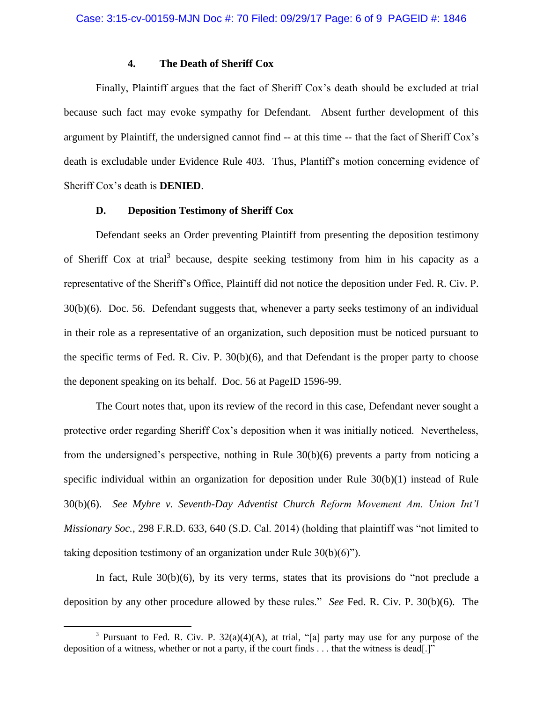### **4. The Death of Sheriff Cox**

Finally, Plaintiff argues that the fact of Sheriff Cox's death should be excluded at trial because such fact may evoke sympathy for Defendant. Absent further development of this argument by Plaintiff, the undersigned cannot find -- at this time -- that the fact of Sheriff Cox's death is excludable under Evidence Rule 403. Thus, Plantiff's motion concerning evidence of Sheriff Cox's death is **DENIED**.

## **D. Deposition Testimony of Sheriff Cox**

Defendant seeks an Order preventing Plaintiff from presenting the deposition testimony of Sheriff Cox at trial<sup>3</sup> because, despite seeking testimony from him in his capacity as a representative of the Sheriff's Office, Plaintiff did not notice the deposition under Fed. R. Civ. P. 30(b)(6). Doc. 56. Defendant suggests that, whenever a party seeks testimony of an individual in their role as a representative of an organization, such deposition must be noticed pursuant to the specific terms of Fed. R. Civ. P. 30(b)(6), and that Defendant is the proper party to choose the deponent speaking on its behalf. Doc. 56 at PageID 1596-99.

The Court notes that, upon its review of the record in this case, Defendant never sought a protective order regarding Sheriff Cox's deposition when it was initially noticed. Nevertheless, from the undersigned's perspective, nothing in Rule 30(b)(6) prevents a party from noticing a specific individual within an organization for deposition under Rule 30(b)(1) instead of Rule 30(b)(6). *See Myhre v. Seventh-Day Adventist Church Reform Movement Am. Union Int'l Missionary Soc.*, 298 F.R.D. 633, 640 (S.D. Cal. 2014) (holding that plaintiff was "not limited to taking deposition testimony of an organization under Rule 30(b)(6)").

In fact, Rule  $30(b)(6)$ , by its very terms, states that its provisions do "not preclude a deposition by any other procedure allowed by these rules." *See* Fed. R. Civ. P. 30(b)(6). The

 $\overline{a}$ 

<sup>&</sup>lt;sup>3</sup> Pursuant to Fed. R. Civ. P.  $32(a)(4)(A)$ , at trial, "[a] party may use for any purpose of the deposition of a witness, whether or not a party, if the court finds . . . that the witness is dead[.]"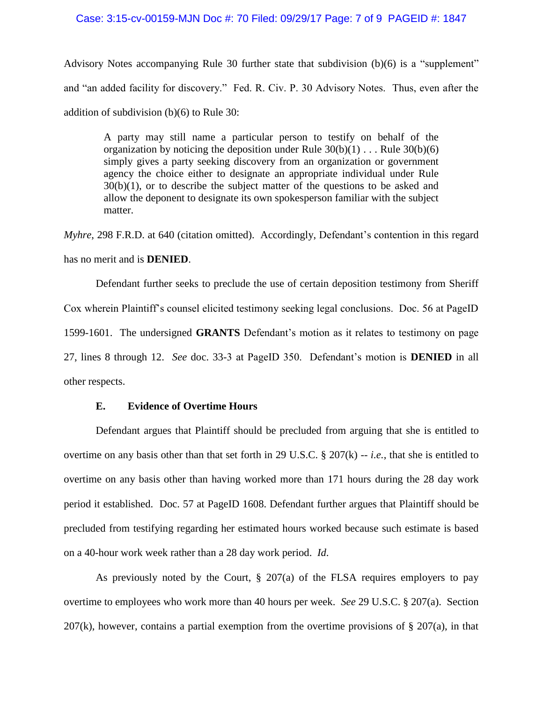#### Case: 3:15-cv-00159-MJN Doc #: 70 Filed: 09/29/17 Page: 7 of 9 PAGEID #: 1847

Advisory Notes accompanying Rule 30 further state that subdivision (b)(6) is a "supplement" and "an added facility for discovery." Fed. R. Civ. P. 30 Advisory Notes. Thus, even after the addition of subdivision (b)(6) to Rule 30:

A party may still name a particular person to testify on behalf of the organization by noticing the deposition under Rule  $30(b)(1)$ ... Rule  $30(b)(6)$ simply gives a party seeking discovery from an organization or government agency the choice either to designate an appropriate individual under Rule 30(b)(1), or to describe the subject matter of the questions to be asked and allow the deponent to designate its own spokesperson familiar with the subject matter.

*Myhre*, 298 F.R.D. at 640 (citation omitted). Accordingly, Defendant's contention in this regard has no merit and is **DENIED**.

Defendant further seeks to preclude the use of certain deposition testimony from Sheriff Cox wherein Plaintiff's counsel elicited testimony seeking legal conclusions. Doc. 56 at PageID 1599-1601. The undersigned **GRANTS** Defendant's motion as it relates to testimony on page 27, lines 8 through 12. *See* doc. 33-3 at PageID 350. Defendant's motion is **DENIED** in all other respects.

### **E. Evidence of Overtime Hours**

Defendant argues that Plaintiff should be precluded from arguing that she is entitled to overtime on any basis other than that set forth in 29 U.S.C. § 207(k) -- *i.e.*, that she is entitled to overtime on any basis other than having worked more than 171 hours during the 28 day work period it established. Doc. 57 at PageID 1608. Defendant further argues that Plaintiff should be precluded from testifying regarding her estimated hours worked because such estimate is based on a 40-hour work week rather than a 28 day work period. *Id*.

As previously noted by the Court, § 207(a) of the FLSA requires employers to pay overtime to employees who work more than 40 hours per week. *See* 29 U.S.C. § 207(a). Section  $207(k)$ , however, contains a partial exemption from the overtime provisions of § 207(a), in that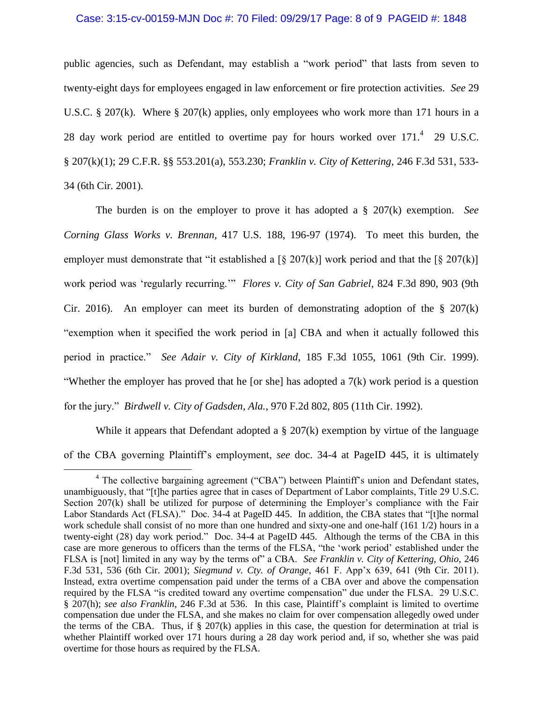#### Case: 3:15-cv-00159-MJN Doc #: 70 Filed: 09/29/17 Page: 8 of 9 PAGEID #: 1848

public agencies, such as Defendant, may establish a "work period" that lasts from seven to twenty-eight days for employees engaged in law enforcement or fire protection activities. *See* 29 U.S.C. § 207(k). Where § 207(k) applies, only employees who work more than 171 hours in a 28 day work period are entitled to overtime pay for hours worked over  $171<sup>4</sup>$  29 U.S.C. § 207(k)(1); [29 C.F.R. §§ 553.201\(a\),](http://www.westlaw.com/Link/Document/FullText?findType=L&pubNum=1000547&cite=29CFRS553.201&originatingDoc=Id790178e567411d9bf30d7fdf51b6bd4&refType=RB&originationContext=document&vr=3.0&rs=cblt1.0&transitionType=DocumentItem&contextData=(sc.Search)#co_pp_8b3b0000958a4) [553.230;](http://www.westlaw.com/Link/Document/FullText?findType=L&pubNum=1000547&cite=29CFRS553.230&originatingDoc=Id790178e567411d9bf30d7fdf51b6bd4&refType=LQ&originationContext=document&vr=3.0&rs=cblt1.0&transitionType=DocumentItem&contextData=(sc.Search)) *Franklin v. City of Kettering*, 246 F.3d 531, 533- 34 (6th Cir. 2001).

The burden is on the employer to prove it has adopted a § 207(k) exemption. *See Corning Glass Works v. Brennan,* 417 U.S. 188, 196-97 (1974). To meet this burden, the employer must demonstrate that "it established a  $\lceil \frac{6}{207(k)} \rceil$  work period and that the  $\lceil \frac{6}{5} \cdot \frac{207(k)}{205(k)} \rceil$ work period was 'regularly recurring.'" *Flores v. City of San Gabriel*, 824 F.3d 890, 903 (9th Cir. 2016). An employer can meet its burden of demonstrating adoption of the  $\S$  207(k) "exemption when it specified the work period in [a] CBA and when it actually followed this period in practice." *See Adair v. City of Kirkland*, 185 F.3d 1055, 1061 (9th Cir. 1999). "Whether the employer has proved that he [or she] has adopted a  $7(k)$  work period is a question for the jury." *Birdwell v. City of Gadsden, Ala.*, 970 F.2d 802, 805 (11th Cir. 1992).

While it appears that Defendant adopted a  $\S 207(k)$  exemption by virtue of the language of the CBA governing Plaintiff's employment, *see* doc. 34-4 at PageID 445, it is ultimately

 $\overline{a}$ 

<sup>&</sup>lt;sup>4</sup> The collective bargaining agreement ("CBA") between Plaintiff's union and Defendant states, unambiguously, that "[t]he parties agree that in cases of Department of Labor complaints, Title 29 U.S.C. Section 207(k) shall be utilized for purpose of determining the Employer's compliance with the Fair Labor Standards Act (FLSA)." Doc. 34-4 at PageID 445. In addition, the CBA states that "[t]he normal work schedule shall consist of no more than one hundred and sixty-one and one-half (161 1/2) hours in a twenty-eight (28) day work period." Doc. 34-4 at PageID 445. Although the terms of the CBA in this case are more generous to officers than the terms of the FLSA, "the 'work period' established under the FLSA is [not] limited in any way by the terms of" a CBA. *See Franklin v. City of Kettering, Ohio*, 246 F.3d 531, 536 (6th Cir. 2001); *Siegmund v. Cty. of Orange*, 461 F. App'x 639, 641 (9th Cir. 2011). Instead, extra overtime compensation paid under the terms of a CBA over and above the compensation required by the FLSA "is credited toward any overtime compensation" due under the FLSA. 29 U.S.C. § 207(h); *see also Franklin*, 246 F.3d at 536. In this case, Plaintiff's complaint is limited to overtime compensation due under the FLSA, and she makes no claim for over compensation allegedly owed under the terms of the CBA. Thus, if  $\S 207(k)$  applies in this case, the question for determination at trial is whether Plaintiff worked over 171 hours during a 28 day work period and, if so, whether she was paid overtime for those hours as required by the FLSA.